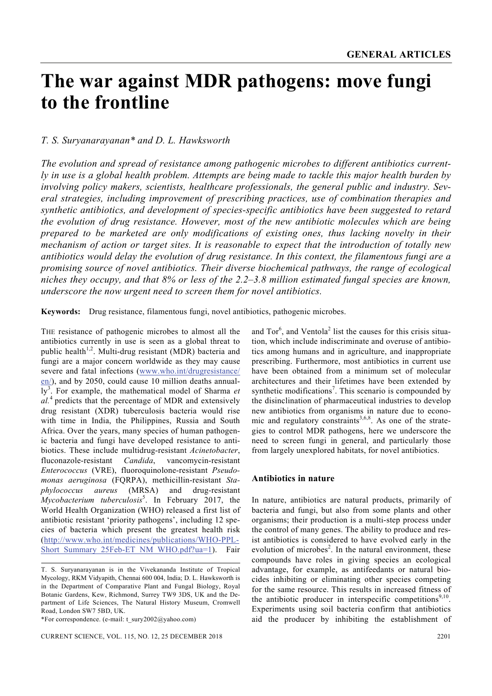# **The war against MDR pathogens: move fungi to the frontline**

## *T. S. Suryanarayanan\* and D. L. Hawksworth*

*The evolution and spread of resistance among pathogenic microbes to different antibiotics currently in use is a global health problem. Attempts are being made to tackle this major health burden by involving policy makers, scientists, healthcare professionals, the general public and industry. Several strategies, including improvement of prescribing practices, use of combination therapies and synthetic antibiotics, and development of species-specific antibiotics have been suggested to retard the evolution of drug resistance. However, most of the new antibiotic molecules which are being prepared to be marketed are only modifications of existing ones, thus lacking novelty in their mechanism of action or target sites. It is reasonable to expect that the introduction of totally new antibiotics would delay the evolution of drug resistance. In this context, the filamentous fungi are a promising source of novel antibiotics. Their diverse biochemical pathways, the range of ecological niches they occupy, and that 8% or less of the 2.2–3.8 million estimated fungal species are known, underscore the now urgent need to screen them for novel antibiotics.*

**Keywords:** Drug resistance, filamentous fungi, novel antibiotics, pathogenic microbes.

THE resistance of pathogenic microbes to almost all the antibiotics currently in use is seen as a global threat to public health<sup>1,2</sup>. Multi-drug resistant (MDR) bacteria and fungi are a major concern worldwide as they may cause severe and fatal infections (www.who.int/drugresistance/ en/), and by 2050, could cause 10 million deaths annually<sup>3</sup>. For example, the mathematical model of Sharma *et al.*4 predicts that the percentage of MDR and extensively drug resistant (XDR) tuberculosis bacteria would rise with time in India, the Philippines, Russia and South Africa. Over the years, many species of human pathogenic bacteria and fungi have developed resistance to antibiotics. These include multidrug-resistant *Acinetobacter*, fluconazole-resistant *Candida*, vancomycin-resistant *Enterococcus* (VRE), fluoroquinolone-resistant *Pseudomonas aeruginosa* (FQRPA), methicillin-resistant *Staphylococcus aureus* (MRSA) and drug-resistant *Mycobacterium tuberculosis*<sup>5</sup> . In February 2017, the World Health Organization (WHO) released a first list of antibiotic resistant 'priority pathogens', including 12 species of bacteria which present the greatest health risk (http://www.who.int/medicines/publications/WHO-PPL-Short Summary 25Feb-ET\_NM\_WHO.pdf?ua=1). Fair

CURRENT SCIENCE, VOL. 115, NO. 12, 25 DECEMBER 2018 2201

and  $Tor^6$ , and Ventola<sup>2</sup> list the causes for this crisis situation, which include indiscriminate and overuse of antibiotics among humans and in agriculture, and inappropriate prescribing. Furthermore, most antibiotics in current use have been obtained from a minimum set of molecular architectures and their lifetimes have been extended by synthetic modifications<sup>7</sup>. This scenario is compounded by the disinclination of pharmaceutical industries to develop new antibiotics from organisms in nature due to economic and regulatory constraints<sup>3,6,8</sup>. As one of the strategies to control MDR pathogens, here we underscore the need to screen fungi in general, and particularly those from largely unexplored habitats, for novel antibiotics.

### **Antibiotics in nature**

In nature, antibiotics are natural products, primarily of bacteria and fungi, but also from some plants and other organisms; their production is a multi-step process under the control of many genes. The ability to produce and resist antibiotics is considered to have evolved early in the evolution of microbes<sup>2</sup>. In the natural environment, these compounds have roles in giving species an ecological advantage, for example, as antifeedants or natural biocides inhibiting or eliminating other species competing for the same resource. This results in increased fitness of the antibiotic producer in interspecific competitions<sup>9,10</sup>. Experiments using soil bacteria confirm that antibiotics aid the producer by inhibiting the establishment of

T. S. Suryanarayanan is in the Vivekananda Institute of Tropical Mycology, RKM Vidyapith, Chennai 600 004, India; D. L. Hawksworth is in the Department of Comparative Plant and Fungal Biology, Royal Botanic Gardens, Kew, Richmond, Surrey TW9 3DS, UK and the Department of Life Sciences, The Natural History Museum, Cromwell Road, London SW7 5BD, UK.

<sup>\*</sup>For correspondence. (e-mail: t\_sury2002@yahoo.com)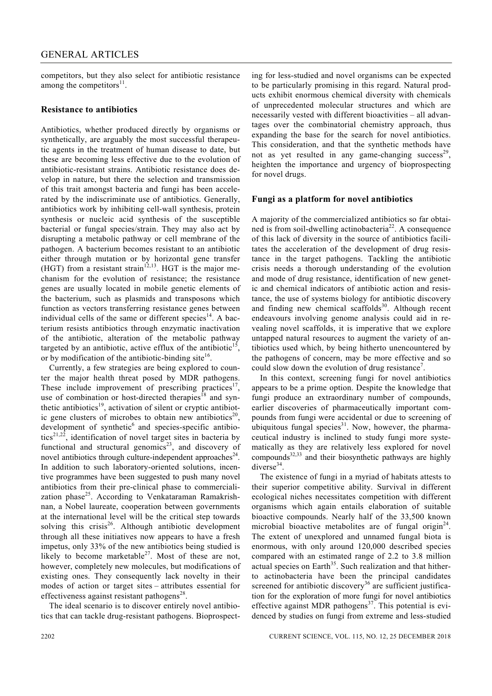competitors, but they also select for antibiotic resistance among the competitors $^{11}$ .

#### **Resistance to antibiotics**

Antibiotics, whether produced directly by organisms or synthetically, are arguably the most successful therapeutic agents in the treatment of human disease to date, but these are becoming less effective due to the evolution of antibiotic-resistant strains. Antibiotic resistance does develop in nature, but there the selection and transmission of this trait amongst bacteria and fungi has been accelerated by the indiscriminate use of antibiotics. Generally, antibiotics work by inhibiting cell-wall synthesis, protein synthesis or nucleic acid synthesis of the susceptible bacterial or fungal species/strain. They may also act by disrupting a metabolic pathway or cell membrane of the pathogen. A bacterium becomes resistant to an antibiotic either through mutation or by horizontal gene transfer (HGT) from a resistant strain<sup>12,13</sup>. HGT is the major mechanism for the evolution of resistance; the resistance genes are usually located in mobile genetic elements of the bacterium, such as plasmids and transposons which function as vectors transferring resistance genes between individual cells of the same or different species<sup>14</sup>. A bacterium resists antibiotics through enzymatic inactivation of the antibiotic, alteration of the metabolic pathway targeted by an antibiotic, active efflux of the antibiotic<sup>15</sup> or by modification of the antibiotic-binding site<sup>16</sup>.

 Currently, a few strategies are being explored to counter the major health threat posed by MDR pathogens. These include improvement of prescribing practices<sup>17</sup>, use of combination or host-directed therapies<sup>18</sup> and synthetic antibiotics<sup>19</sup>, activation of silent or cryptic antibiotic gene clusters of microbes to obtain new antibiotics<sup>20</sup> development of synthetic<sup>6</sup> and species-specific antibiotics<sup>21,22</sup>, identification of novel target sites in bacteria by functional and structural genomics<sup>23</sup>, and discovery of novel antibiotics through culture-independent approaches<sup>24</sup>. In addition to such laboratory-oriented solutions, incentive programmes have been suggested to push many novel antibiotics from their pre-clinical phase to commercialization phase<sup>25</sup>. According to Venkataraman Ramakrishnan, a Nobel laureate, cooperation between governments at the international level will be the critical step towards solving this crisis<sup>26</sup>. Although antibiotic development through all these initiatives now appears to have a fresh impetus, only 33% of the new antibiotics being studied is likely to become marketable $2^7$ . Most of these are not, however, completely new molecules, but modifications of existing ones. They consequently lack novelty in their modes of action or target sites – attributes essential for effectiveness against resistant pathogens<sup>28</sup>.

 The ideal scenario is to discover entirely novel antibiotics that can tackle drug-resistant pathogens. Bioprospecting for less-studied and novel organisms can be expected to be particularly promising in this regard. Natural products exhibit enormous chemical diversity with chemicals of unprecedented molecular structures and which are necessarily vested with different bioactivities – all advantages over the combinatorial chemistry approach, thus expanding the base for the search for novel antibiotics. This consideration, and that the synthetic methods have not as yet resulted in any game-changing success<sup>29</sup>, heighten the importance and urgency of bioprospecting for novel drugs.

#### **Fungi as a platform for novel antibiotics**

A majority of the commercialized antibiotics so far obtained is from soil-dwelling actinobacteria<sup>22</sup>. A consequence of this lack of diversity in the source of antibiotics facilitates the acceleration of the development of drug resistance in the target pathogens. Tackling the antibiotic crisis needs a thorough understanding of the evolution and mode of drug resistance, identification of new genetic and chemical indicators of antibiotic action and resistance, the use of systems biology for antibiotic discovery and finding new chemical scaffolds $30$ . Although recent endeavours involving genome analysis could aid in revealing novel scaffolds, it is imperative that we explore untapped natural resources to augment the variety of antibiotics used which, by being hitherto unencountered by the pathogens of concern, may be more effective and so could slow down the evolution of drug resistance<sup>7</sup>.

 In this context, screening fungi for novel antibiotics appears to be a prime option. Despite the knowledge that fungi produce an extraordinary number of compounds, earlier discoveries of pharmaceutically important compounds from fungi were accidental or due to screening of ubiquitous fungal species $31$ . Now, however, the pharmaceutical industry is inclined to study fungi more systematically as they are relatively less explored for novel compounds $32,33$  and their biosynthetic pathways are highly diverse<sup>34</sup>.

 The existence of fungi in a myriad of habitats attests to their superior competitive ability. Survival in different ecological niches necessitates competition with different organisms which again entails elaboration of suitable bioactive compounds. Nearly half of the 33,500 known microbial bioactive metabolites are of fungal origin<sup>24</sup>. The extent of unexplored and unnamed fungal biota is enormous, with only around 120,000 described species compared with an estimated range of 2.2 to 3.8 million actual species on Earth<sup>35</sup>. Such realization and that hitherto actinobacteria have been the principal candidates screened for antibiotic discovery<sup>36</sup> are sufficient justification for the exploration of more fungi for novel antibiotics effective against MDR pathogens<sup>37</sup>. This potential is evidenced by studies on fungi from extreme and less-studied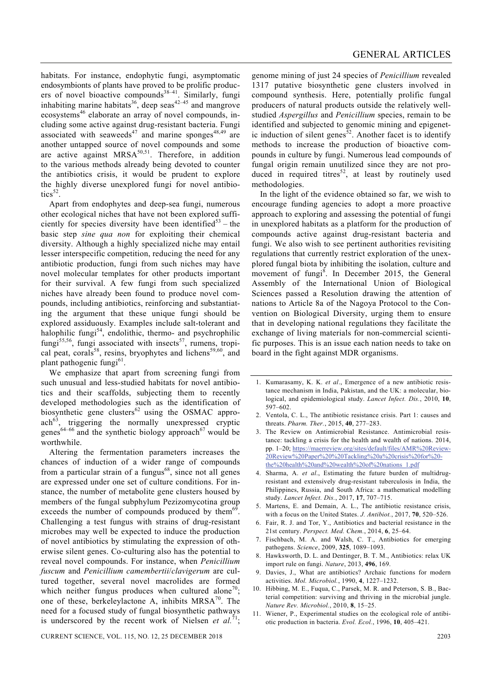habitats. For instance, endophytic fungi, asymptomatic endosymbionts of plants have proved to be prolific producers of novel bioactive compounds<sup>38-41</sup>. Similarly, fungi inhabiting marine habitats<sup>36</sup>, deep seas<sup>42–45</sup> and mangrove ecosystems<sup>46</sup> elaborate an array of novel compounds, including some active against drug-resistant bacteria. Fungi associated with seaweeds<sup>47</sup> and marine sponges<sup>48,49</sup> are another untapped source of novel compounds and some are active against  $MRSA<sup>50,51</sup>$ . Therefore, in addition to the various methods already being devoted to counter the antibiotics crisis, it would be prudent to explore the highly diverse unexplored fungi for novel antibio $tics<sup>52</sup>$ .

 Apart from endophytes and deep-sea fungi, numerous other ecological niches that have not been explored sufficiently for species diversity have been identified<sup>53</sup> – the basic step *sine qua non* for exploiting their chemical diversity. Although a highly specialized niche may entail lesser interspecific competition, reducing the need for any antibiotic production, fungi from such niches may have novel molecular templates for other products important for their survival. A few fungi from such specialized niches have already been found to produce novel compounds, including antibiotics, reinforcing and substantiating the argument that these unique fungi should be explored assiduously. Examples include salt-tolerant and halophilic fungi $54$ , endolithic, thermo- and psychrophilic  $fungi<sup>55,56</sup>$ , fungi associated with insects<sup>57</sup>, rumens, tropical peat, corals<sup>58</sup>, resins, bryophytes and lichens<sup>59,60</sup>, and plant pathogenic fungi<sup>61</sup>.

 We emphasize that apart from screening fungi from such unusual and less-studied habitats for novel antibiotics and their scaffolds, subjecting them to recently developed methodologies such as the identification of biosynthetic gene clusters<sup>62</sup> using the OSMAC appro-<br>ach<sup>63</sup>, triggering the normally unexpressed cryptic triggering the normally unexpressed cryptic genes<sup>64–66</sup> and the synthetic biology approach<sup>67</sup> would be worthwhile.

 Altering the fermentation parameters increases the chances of induction of a wider range of compounds from a particular strain of a fungus $^{68}$ , since not all genes are expressed under one set of culture conditions. For instance, the number of metabolite gene clusters housed by members of the fungal subphylum Pezizomycotina group exceeds the number of compounds produced by them<sup>69</sup>. Challenging a test fungus with strains of drug-resistant microbes may well be expected to induce the production of novel antibiotics by stimulating the expression of otherwise silent genes. Co-culturing also has the potential to reveal novel compounds. For instance, when *Penicillium fuscum* and *Penicillium camembertii*/*clavigerum* are cultured together, several novel macrolides are formed which neither fungus produces when cultured alone<sup>70</sup>; one of these, berkeleylactone A, inhibits  $MRSA^{70}$ . The need for a focused study of fungal biosynthetic pathways is underscored by the recent work of Nielsen et  $al.^{71}$ ;

CURRENT SCIENCE, VOL. 115, NO. 12, 25 DECEMBER 2018 2203

genome mining of just 24 species of *Penicillium* revealed 1317 putative biosynthetic gene clusters involved in compound synthesis. Here, potentially prolific fungal producers of natural products outside the relatively wellstudied *Aspergillus* and *Penicillium* species, remain to be identified and subjected to genomic mining and epigenetic induction of silent genes<sup>52</sup>. Another facet is to identify methods to increase the production of bioactive compounds in culture by fungi. Numerous lead compounds of fungal origin remain unutilized since they are not produced in required titres<sup>52</sup>, at least by routinely used methodologies.

 In the light of the evidence obtained so far, we wish to encourage funding agencies to adopt a more proactive approach to exploring and assessing the potential of fungi in unexplored habitats as a platform for the production of compounds active against drug-resistant bacteria and fungi. We also wish to see pertinent authorities revisiting regulations that currently restrict exploration of the unexplored fungal biota by inhibiting the isolation, culture and movement of fungi<sup>8</sup>. In December 2015, the General Assembly of the International Union of Biological Sciences passed a Resolution drawing the attention of nations to Article 8a of the Nagoya Protocol to the Convention on Biological Diversity, urging them to ensure that in developing national regulations they facilitate the exchange of living materials for non-commercial scientific purposes. This is an issue each nation needs to take on board in the fight against MDR organisms.

- 1. Kumarasamy, K. K. *et al*., Emergence of a new antibiotic resistance mechanism in India, Pakistan, and the UK: a molecular, biological, and epidemiological study. *Lancet Infect. Dis.*, 2010, **10**, 597–602.
- 2. Ventola, C. L., The antibiotic resistance crisis. Part 1: causes and threats. *Pharm. Ther.*, 2015, **40**, 277–283.
- 3. The Review on Antimicrobial Resistance. Antimicrobial resistance: tackling a crisis for the health and wealth of nations. 2014, pp. 1–20; https://maerreview.org/sites/default/files/AMR%20Review-20Review%20Paper%20%20Tackling%20a%20crisis%20for%20 the%20health%20and%20wealth%20of%20nations\_1.pdf
- 4. Sharma, A. *et al*., Estimating the future burden of multidrugresistant and extensively drug-resistant tuberculosis in India, the Philippines, Russia, and South Africa: a mathematical modelling study. *Lancet Infect. Dis.*, 2017, **17**, 707–715.
- 5. Martens, E. and Demain, A. L., The antibiotic resistance crisis, with a focus on the United States. *J. Antibiot.*, 2017, **70**, 520–526.
- 6. Fair, R. J. and Tor, Y., Antibiotics and bacterial resistance in the 21st century. *Perspect. Med. Chem.*, 2014, **6**, 25–64.
- 7. Fischbach, M. A. and Walsh, C. T., Antibiotics for emerging pathogens. *Science*, 2009, **325**, 1089–1093.
- 8. Hawksworth, D. L. and Dentinger, B. T. M., Antibiotics: relax UK import rule on fungi. *Nature*, 2013, **496**, 169.
- 9. Davies, J., What are antibiotics? Archaic functions for modern activities. *Mol. Microbiol.*, 1990, **4**, 1227–1232.
- 10. Hibbing, M. E., Fuqua, C., Parsek, M. R. and Peterson, S. B., Bacterial competition: surviving and thriving in the microbial jungle. *Nature Rev. Microbiol.*, 2010, **8**, 15–25.
- 11. Wiener, P., Experimental studies on the ecological role of antibiotic production in bacteria. *Evol. Ecol.*, 1996, **10**, 405–421.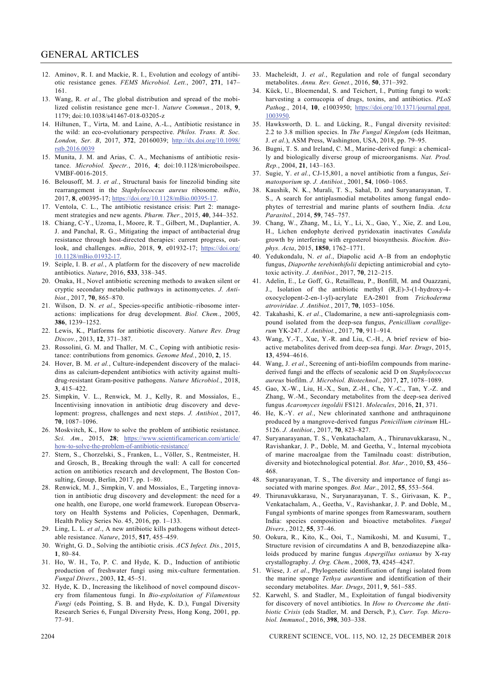- 12. Aminov, R. I. and Mackie, R. I., Evolution and ecology of antibiotic resistance genes. *FEMS Microbiol. Lett.*, 2007, **271**, 147– 161.
- 13. Wang, R. *et al.*, The global distribution and spread of the mobilized colistin resistance gene mcr-1. *Nature Commun.*, 2018, **9**, 1179; doi:10.1038/s41467-018-03205-z
- 14. Hiltunen, T., Virta, M. and Laine, A.-L., Antibiotic resistance in the wild: an eco-evolutionary perspective. *Philos. Trans. R. Soc. London, Ser. B*, 2017, **372**, 20160039; http://dx.doi.org/10.1098/ rstb.2016.0039
- 15. Munita, J. M. and Arias, C. A., Mechanisms of antibiotic resistance. *Microbiol. Spectr.*, 2016, **4**; doi:10.1128/microboilspec. VMBF-0016-2015.
- 16. Belousoff, M. J. *et al.*, Structural basis for linezolid binding site rearrangement in the *Staphylococcus aureus* ribosome. *mBio*, 2017, **8**, e00395-17; https://doi.org/10.1128/mBio.00395-17.
- 17. Ventola, C. L., The antibiotic resistance crisis: Part 2: management strategies and new agents. *Pharm. Ther.*, 2015, **40**, 344–352.
- 18. Chiang, C-Y., Uzoma, I., Moore, R. T., Gilbert, M., Duplantier, A. J. and Panchal, R. G., Mitigating the impact of antibacterial drug resistance through host-directed therapies: current progress, outlook, and challenges. *mBio*, 2018, **9**, e01932-17; https://doi.org/ 10.1128/mBio.01932-17.
- 19. Seiple, I. B. *et al.*, A platform for the discovery of new macrolide antibiotics. *Nature*, 2016, **533**, 338–345.
- 20. Onaka, H., Novel antibiotic screening methods to awaken silent or cryptic secondary metabolic pathways in actinomycetes. *J. Antibiot.*, 2017, **70**, 865–870.
- 21. Wilson, D. N. *et al*., Species-specific antibiotic–ribosome interactions: implications for drug development. *Biol. Chem.*, 2005, **386**, 1239–1252.
- 22. Lewis, K., Platforms for antibiotic discovery. *Nature Rev. Drug Discov.*, 2013, **12**, 371–387.
- 23. Rossolini, G. M. and Thaller, M. C., Coping with antibiotic resistance: contributions from genomics. *Genome Med.*, 2010, **2**, 15.
- 24. Hover, B. M. *et al.*, Culture-independent discovery of the malacidins as calcium-dependent antibiotics with activity against multidrug-resistant Gram-positive pathogens. *Nature Microbiol.*, 2018, **3**, 415–422.
- 25. Simpkin, V. L., Renwick, M. J., Kelly, R. and Mossialos, E., Incentivising innovation in antibiotic drug discovery and development: progress, challenges and next steps. *J. Antibiot.*, 2017, **70**, 1087–1096.
- 26. Moskvitch, K., How to solve the problem of antibiotic resistance. *Sci. Am.*, 2015, **28**; https://www.scientificamerican.com/article/ how-to-solve-the-problem-of-antibiotic-resistance/
- 27. Stern, S., Chorzelski, S., Franken, L., Völler, S., Rentmeister, H. and Grosch, B., Breaking through the wall: A call for concerted action on antibiotics research and development, The Boston Consulting, Group, Berlin, 2017, pp. 1–80.
- 28. Renwick, M. J., Simpkin, V. and Mossialos, E., Targeting innovation in antibiotic drug discovery and development: the need for a one health, one Europe, one world framework. European Observatory on Health Systems and Policies, Copenhagen, Denmark, Health Policy Series No. 45, 2016, pp. 1–133.
- 29. Ling, L. L. *et al*., A new antibiotic kills pathogens without detectable resistance. *Nature*, 2015, **517**, 455–459.
- 30. Wright, G. D., Solving the antibiotic crisis. *ACS Infect. Dis.*, 2015, **1**, 80–84.
- 31. Ho, W. H., To, P. C. and Hyde, K. D., Induction of antibiotic production of freshwater fungi using mix-culture fermentation. *Fungal Divers.*, 2003, **12**, 45–51.
- 32. Hyde, K. D., Increasing the likelihood of novel compound discovery from filamentous fungi. In *Bio-exploitation of Filamentous Fungi* (eds Pointing, S. B. and Hyde, K. D.), Fungal Diversity Research Series 6, Fungal Diversity Press, Hong Kong, 2001, pp. 77–91.
- 33. Macheleidt, J. *et al.*, Regulation and role of fungal secondary metabolites. *Annu. Rev. Genet.*, 2016, **50**, 371–392.
- 34. Kück, U., Bloemendal, S. and Teichert, I., Putting fungi to work: harvesting a cornucopia of drugs, toxins, and antibiotics. *PLoS Pathog.*, 2014, **10**, e1003950; https://doi.org/10.1371/journal.ppat. 1003950.
- 35. Hawksworth, D. L. and Lücking, R., Fungal diversity revisited: 2.2 to 3.8 million species. In *The Fungal Kingdom* (eds Heitman, J. *et al*.), ASM Press, Washington, USA, 2018, pp. 79–95.
- 36. Bugni, T. S. and Ireland, C. M., Marine-derived fungi: a chemically and biologically diverse group of microorganisms. *Nat. Prod. Rep.*, 2004, **21**, 143–163.
- 37. Sugie, Y. *et al.*, CJ-15,801, a novel antibiotic from a fungus, *Seimatosporium* sp. *J. Antibiot.*, 2001, **54**, 1060–1065.
- 38. Kaushik, N. K., Murali, T. S., Sahal, D. and Suryanarayanan, T. S., A search for antiplasmodial metabolites among fungal endophytes of terrestrial and marine plants of southern India. *Acta Parasitol.*, 2014, **59**, 745–757.
- 39. Chang, W., Zhang, M., Li, Y., Li, X., Gao, Y., Xie, Z. and Lou, H., Lichen endophyte derived pyridoxatin inactivates *Candida* growth by interfering with ergosterol biosynthesis. *Biochim. Biophys. Acta*, 2015, **1850**, 1762–1771.
- 40. Yedukondalu, N. *et al*., Diapolic acid A–B from an endophytic fungus, *Diaporthe terebinthifolii* depicting antimicrobial and cytotoxic activity. *J. Antibiot.*, 2017, **70**, 212–215.
- 41. Adelin, E., Le Goff, G., Retailleau, P., Bonfill, M. and Ouazzani, J., Isolation of the antibiotic methyl (R,E)-3-(1-hydroxy-4 oxocyclopent-2-en-1-yl)-acrylate EA-2801 from *Trichoderma atroviridae*. *J. Antibiot.*, 2017, **70**, 1053–1056.
- 42. Takahashi, K. *et al*., Cladomarine, a new anti-saprolegniasis compound isolated from the deep-sea fungus, *Penicillium coralligerum* YK-247. *J. Antibiot.*, 2017, **70**, 911–914.
- 43. Wang, Y.-T., Xue, Y.-R. and Liu, C.-H., A brief review of bioactive metabolites derived from deep-sea fungi. *Mar. Drugs*, 2015, **13**, 4594–4616.
- 44. Wang, J. *et al*., Screening of anti-biofilm compounds from marinederived fungi and the effects of secalonic acid D on *Staphylococcus aureus* biofilm. *J. Microbiol. Biotechnol*., 2017, **27**, 1078–1089.
- 45. Gao, X.-W., Liu, H.-X., Sun, Z.-H., Che, Y.-C., Tan, Y.-Z. and Zhang, W.-M., Secondary metabolites from the deep-sea derived fungus *Acaromyces ingoldii* FS121. *Molecules*, 2016, **21**, 371.
- 46. He, K.-Y. *et al.*, New chlorinated xanthone and anthraquinone produced by a mangrove-derived fungus *Penicillium citrinum* HL-5126. *J. Antibiot.*, 2017, **70**, 823–827.
- 47. Suryanarayanan, T. S., Venkatachalam, A., Thirunavukkarasu, N., Ravishankar, J. P., Doble, M. and Geetha, V., Internal mycobiota of marine macroalgae from the Tamilnadu coast: distribution, diversity and biotechnological potential. *Bot. Mar.*, 2010, **53**, 456– 468.
- 48. Suryanarayanan, T. S., The diversity and importance of fungi associated with marine sponges. *Bot. Mar.*, 2012, **55**, 553–564.
- 49. Thirunavukkarasu, N., Suryanarayanan, T. S., Girivasan, K. P., Venkatachalam, A., Geetha, V., Ravishankar, J. P. and Doble, M., Fungal symbionts of marine sponges from Rameswaram, southern India: species composition and bioactive metabolites. *Fungal Divers.*, 2012, **55**, 37–46.
- 50. Ookura, R., Kito, K., Ooi, T., Namikoshi, M. and Kusumi, T., Structure revision of circumdatins A and B, benzodiazepine alkaloids produced by marine fungus *Aspergillus ostianus* by X-ray crystallography. *J. Org. Chem.*, 2008, **73**, 4245–4247.
- 51. Wiese, J. *et al*., Phylogenetic identification of fungi isolated from the marine sponge *Tethya aurantium* and identification of their secondary metabolites. *Mar. Drugs*, 2011, **9**, 561–585.
- 52. Karwehl, S. and Stadler, M., Exploitation of fungal biodiversity for discovery of novel antibiotics. In *How to Overcome the Antibiotic Crisis* (eds Stadler, M. and Dersch, P.), *Curr. Top. Microbiol. Immunol.*, 2016, **398**, 303–338.

2204 CURRENT SCIENCE, VOL. 115, NO. 12, 25 DECEMBER 2018